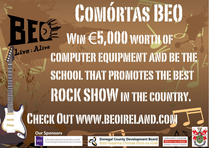## **CONIÓRTAS BEO** HEFE  $WIN \in 5,000$  worth of ive : Alive **COMPUTER EQUIPMENT AND BE THE** SCHOOL THAT PROMOTES THE BEST ROCK SHOW IN THE COUNTRY.

## **CHECK OUT WWW.BEOIRELAND.COM**



m

Coiste Gairmoideachais Chontae Dhùn na nGal County Donegal Vocational Education Committee



Donegal County Development Board<br>Bord Forbartha Chontae Dhún na nGall